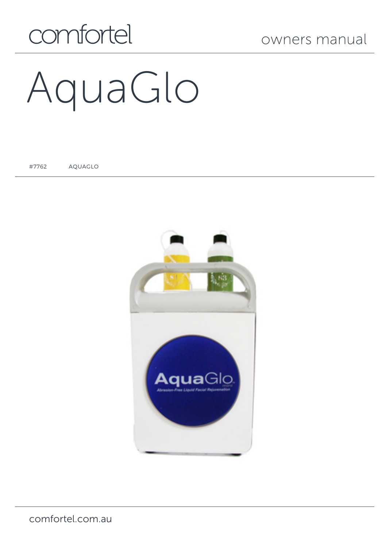## comfortel

# AquaGlo

#7762 AQUAGLO

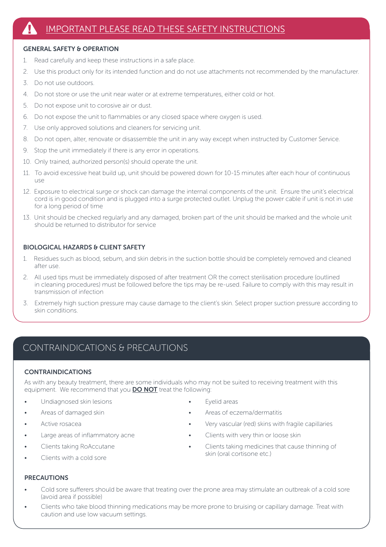#### GENERAL SAFETY & OPERATION

- 1. Read carefully and keep these instructions in a safe place.
- 2. Use this product only for its intended function and do not use attachments not recommended by the manufacturer.
- 3. Do not use outdoors.
- 4. Do not store or use the unit near water or at extreme temperatures, either cold or hot.
- 5. Do not expose unit to corosive air or dust.
- 6. Do not expose the unit to flammables or any closed space where oxygen is used.
- 7. Use only approved solutions and cleaners for servicing unit.
- 8. Do not open, alter, renovate or disassemble the unit in any way except when instructed by Customer Service.
- 9. Stop the unit immediately if there is any error in operations.
- 10. Only trained, authorized person(s) should operate the unit.
- 11. To avoid excessive heat build up, unit should be powered down for 10-15 minutes after each hour of continuous use
- 12. Exposure to electrical surge or shock can damage the internal components of the unit. Ensure the unit's electrical cord is in good condition and is plugged into a surge protected outlet. Unplug the power cable if unit is not in use for a long period of time
- 13. Unit should be checked regularly and any damaged, broken part of the unit should be marked and the whole unit should be returned to distributor for service

#### BIOLOGICAL HAZARDS & CLIENT SAFETY

- 1. Residues such as blood, sebum, and skin debris in the suction bottle should be completely removed and cleaned after use.
- 2. All used tips must be immediately disposed of after treatment OR the correct sterilisation procedure (outlined in cleaning procedures) must be followed before the tips may be re-used. Failure to comply with this may result in transmission of infection
- 3. Extremely high suction pressure may cause damage to the client's skin. Select proper suction pressure according to skin conditions.

#### CONTRAINDICATIONS & PRECAUTIONS

#### CONTRAINDICATIONS

As with any beauty treatment, there are some individuals who may not be suited to receiving treatment with this equipment. We recommend that you **DO NOT** treat the following:

- Undiagnosed skin lesions
- Areas of damaged skin
- Active rosacea
- Large areas of inflammatory acne
- Clients taking RoAccutane
- Clients with a cold sore
- Evelid areas
- Areas of eczema/dermatitis
- Very vascular (red) skins with fragile capillaries
- Clients with very thin or loose skin
- Clients taking medicines that cause thinning of skin (oral cortisone etc.)

- PRECAUTIONS
- Cold sore sufferers should be aware that treating over the prone area may stimulate an outbreak of a cold sore (avoid area if possible)
- Clients who take blood thinning medications may be more prone to bruising or capillary damage. Treat with caution and use low vacuum settings.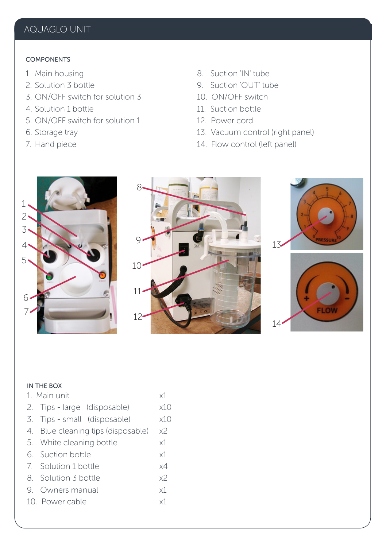## ` AQUAGLO UNIT

#### COMPONENTS

- 1. Main housing
- 2. Solution 3 bottle
- 3. ON/OFF switch for solution 3
- 4. Solution 1 bottle
- 5. ON/OFF switch for solution 1
- 6. Storage tray
- 7. Hand piece
- 8. Suction 'IN' tube
- 9. Suction 'OUT' tube
- 10. ON/OFF switch
- 11. Suction bottle
- 12. Power cord
- 13. Vacuum control (right panel)
- 14. Flow control (left panel)









#### IN THE BOX

| 1 Main unit                                          | x1  |  |
|------------------------------------------------------|-----|--|
| 2. Tips - large (disposable)                         | x10 |  |
| 3. Tips - small (disposable)                         | x10 |  |
| 4. Blue cleaning tips (disposable)<br>x <sup>2</sup> |     |  |
| 5. White cleaning bottle                             |     |  |
| 6 Suction bottle                                     |     |  |
| x4<br>7. Solution 1 bottle                           |     |  |
| х2<br>8 Solution 3 bottle                            |     |  |
| 9. Owners manual<br>$\times$ 1                       |     |  |
| 10. Power cable<br>x1                                |     |  |
|                                                      |     |  |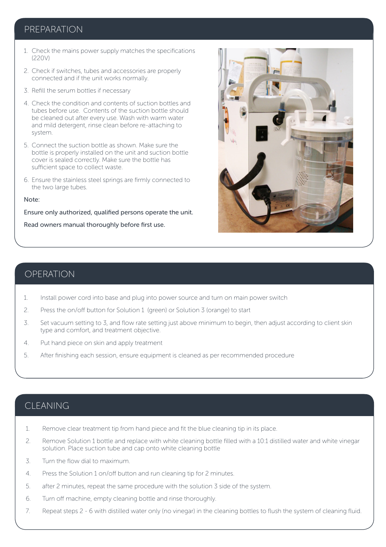#### PREPARATION

- 1. Check the mains power supply matches the specifications (220V)
- 2. Check if switches, tubes and accessories are properly connected and if the unit works normally.
- 3. Refill the serum bottles if necessary
- 4. Check the condition and contents of suction bottles and tubes before use. Contents of the suction bottle should be cleaned out after every use. Wash with warm water and mild detergent, rinse clean before re-attaching to system.
- 5. Connect the suction bottle as shown. Make sure the bottle is properly installed on the unit and suction bottle cover is sealed correctly. Make sure the bottle has sufficient space to collect waste.
- 6. Ensure the stainless steel springs are firmly connected to the two large tubes.

#### Note:

Ensure only authorized, qualified persons operate the unit.

Read owners manual thoroughly before first use.



#### OPERATION

- 1. Install power cord into base and plug into power source and turn on main power switch
- 2. Press the on/off button for Solution 1 (green) or Solution 3 (orange) to start
- 3. Set vacuum setting to 3, and flow rate setting just above minimum to begin, then adjust according to client skin type and comfort, and treatment objective.
- 4. Put hand piece on skin and apply treatment
- 5. After finishing each session, ensure equipment is cleaned as per recommended procedure

#### CLEANING

- 1. Remove clear treatment tip from hand piece and fit the blue cleaning tip in its place.
- 2. Remove Solution 1 bottle and replace with white cleaning bottle filled with a 10:1 distilled water and white vinegar solution. Place suction tube and cap onto white cleaning bottle
- 3. Turn the flow dial to maximum.
- 4. Press the Solution 1 on/off button and run cleaning tip for 2 minutes.
- 5. after 2 minutes, repeat the same procedure with the solution 3 side of the system.
- 6. Turn off machine, empty cleaning bottle and rinse thoroughly.
- 7. Repeat steps 2 6 with distilled water only (no vinegar) in the cleaning bottles to flush the system of cleaning fluid.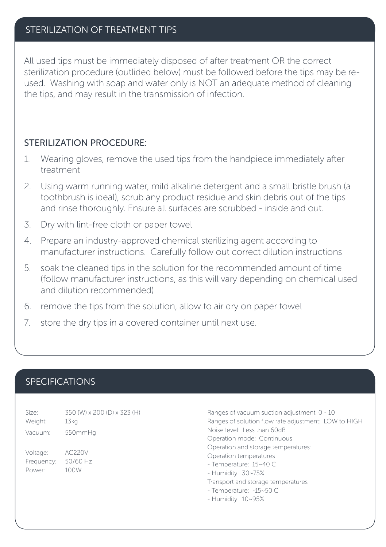#### STERILIZATION OF TREATMENT TIPS

All used tips must be immediately disposed of after treatment OR the correct sterilization procedure (outlided below) must be followed before the tips may be reused. Washing with soap and water only is NOT an adequate method of cleaning the tips, and may result in the transmission of infection.

#### STERILIZATION PROCEDURE:

- 1. Wearing gloves, remove the used tips from the handpiece immediately after treatment
- 2. Using warm running water, mild alkaline detergent and a small bristle brush (a toothbrush is ideal), scrub any product residue and skin debris out of the tips and rinse thoroughly. Ensure all surfaces are scrubbed - inside and out.
- 3. Dry with lint-free cloth or paper towel
- 4. Prepare an industry-approved chemical sterilizing agent according to manufacturer instructions. Carefully follow out correct dilution instructions
- 5. soak the cleaned tips in the solution for the recommended amount of time (follow manufacturer instructions, as this will vary depending on chemical used and dilution recommended)
- 6. remove the tips from the solution, allow to air dry on paper towel
- 7. store the dry tips in a covered container until next use.

#### SPECIFICATIONS

| Size:      | 350 (W) x 200 (D) x 323 (H) |
|------------|-----------------------------|
| Weight:    | 13kg                        |
| Vacuum:    | 550mmHq                     |
| Voltage:   | AC220V                      |
| Frequency: | 50/60 Hz                    |
| Power:     | 100W                        |

Ranges of vacuum suction adjustment: 0 - 10 Ranges of solution flow rate adjustment: LOW to HIGH Noise level: Less than 60dB Operation mode: Continuous Operation and storage temperatures: Operation temperatures - Temperature: 15~40 C - Humidity: 30~75% Transport and storage temperatures - Temperature: -15~50 C - Humidity: 10~95%